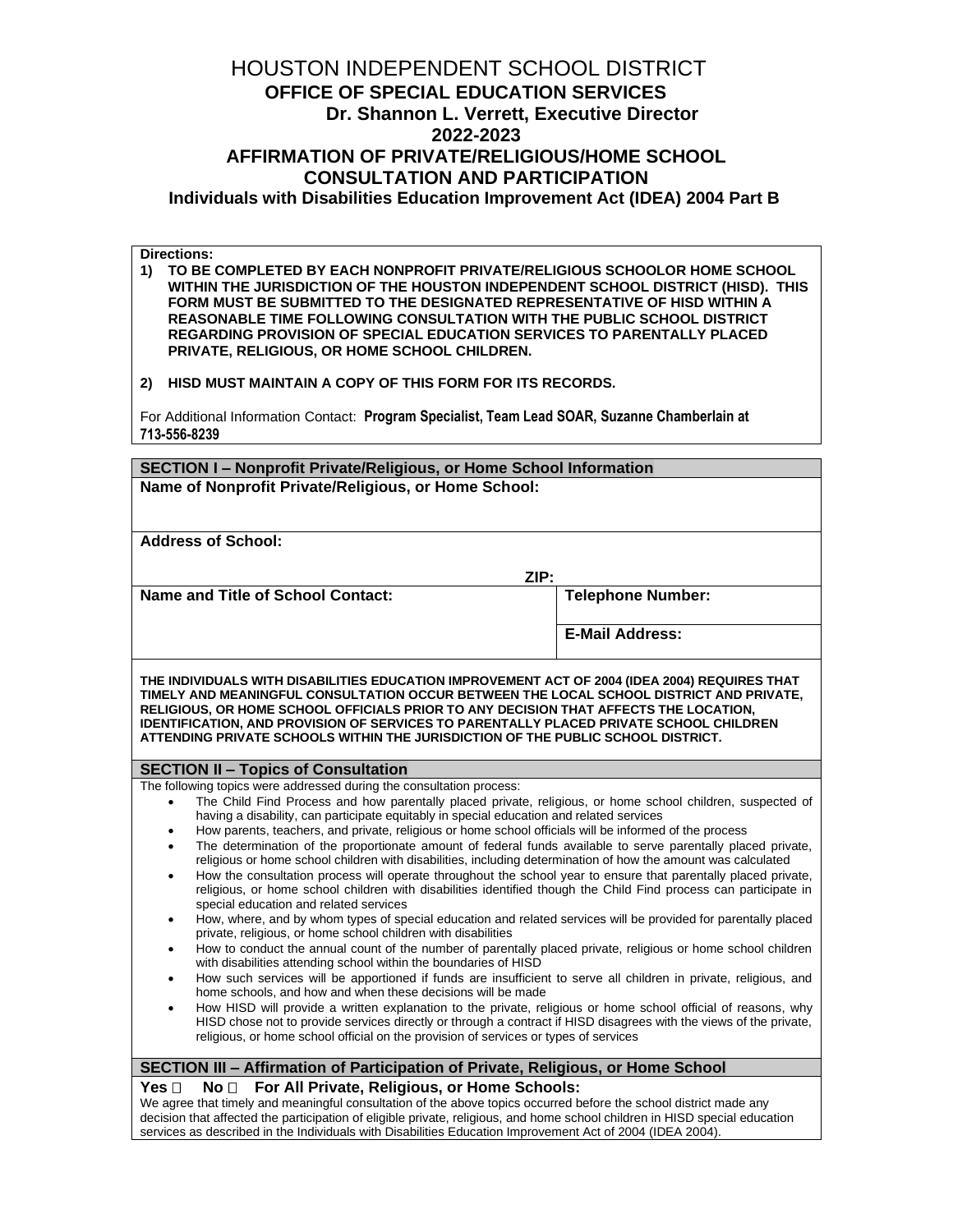# HOUSTON INDEPENDENT SCHOOL DISTRICT  **OFFICE OF SPECIAL EDUCATION SERVICES Dr. Shannon L. Verrett, Executive Director 2022-2023 AFFIRMATION OF PRIVATE/RELIGIOUS/HOME SCHOOL CONSULTATION AND PARTICIPATION Individuals with Disabilities Education Improvement Act (IDEA) 2004 Part B**

**Directions:**

**1) TO BE COMPLETED BY EACH NONPROFIT PRIVATE/RELIGIOUS SCHOOLOR HOME SCHOOL WITHIN THE JURISDICTION OF THE HOUSTON INDEPENDENT SCHOOL DISTRICT (HISD). THIS FORM MUST BE SUBMITTED TO THE DESIGNATED REPRESENTATIVE OF HISD WITHIN A REASONABLE TIME FOLLOWING CONSULTATION WITH THE PUBLIC SCHOOL DISTRICT REGARDING PROVISION OF SPECIAL EDUCATION SERVICES TO PARENTALLY PLACED PRIVATE, RELIGIOUS, OR HOME SCHOOL CHILDREN.**

**2) HISD MUST MAINTAIN A COPY OF THIS FORM FOR ITS RECORDS.**

For Additional Information Contact: **Program Specialist, Team Lead SOAR, Suzanne Chamberlain at 713-556-8239**

| SECTION I - Nonprofit Private/Religious, or Home School Information                                                                                                                                                                                                                                                                                                                                                                                                                                                                                                                                                                                                                                                                                                                                                                                                                                                                                                                                                                                                                                                                                                                                                                                                                                                                                                                                                                                                                                                                                                                                                                                                                                                                                                                                                                                                                         |                          |  |
|---------------------------------------------------------------------------------------------------------------------------------------------------------------------------------------------------------------------------------------------------------------------------------------------------------------------------------------------------------------------------------------------------------------------------------------------------------------------------------------------------------------------------------------------------------------------------------------------------------------------------------------------------------------------------------------------------------------------------------------------------------------------------------------------------------------------------------------------------------------------------------------------------------------------------------------------------------------------------------------------------------------------------------------------------------------------------------------------------------------------------------------------------------------------------------------------------------------------------------------------------------------------------------------------------------------------------------------------------------------------------------------------------------------------------------------------------------------------------------------------------------------------------------------------------------------------------------------------------------------------------------------------------------------------------------------------------------------------------------------------------------------------------------------------------------------------------------------------------------------------------------------------|--------------------------|--|
| Name of Nonprofit Private/Religious, or Home School:                                                                                                                                                                                                                                                                                                                                                                                                                                                                                                                                                                                                                                                                                                                                                                                                                                                                                                                                                                                                                                                                                                                                                                                                                                                                                                                                                                                                                                                                                                                                                                                                                                                                                                                                                                                                                                        |                          |  |
|                                                                                                                                                                                                                                                                                                                                                                                                                                                                                                                                                                                                                                                                                                                                                                                                                                                                                                                                                                                                                                                                                                                                                                                                                                                                                                                                                                                                                                                                                                                                                                                                                                                                                                                                                                                                                                                                                             |                          |  |
| <b>Address of School:</b>                                                                                                                                                                                                                                                                                                                                                                                                                                                                                                                                                                                                                                                                                                                                                                                                                                                                                                                                                                                                                                                                                                                                                                                                                                                                                                                                                                                                                                                                                                                                                                                                                                                                                                                                                                                                                                                                   |                          |  |
| ZIP:                                                                                                                                                                                                                                                                                                                                                                                                                                                                                                                                                                                                                                                                                                                                                                                                                                                                                                                                                                                                                                                                                                                                                                                                                                                                                                                                                                                                                                                                                                                                                                                                                                                                                                                                                                                                                                                                                        |                          |  |
| <b>Name and Title of School Contact:</b>                                                                                                                                                                                                                                                                                                                                                                                                                                                                                                                                                                                                                                                                                                                                                                                                                                                                                                                                                                                                                                                                                                                                                                                                                                                                                                                                                                                                                                                                                                                                                                                                                                                                                                                                                                                                                                                    | <b>Telephone Number:</b> |  |
|                                                                                                                                                                                                                                                                                                                                                                                                                                                                                                                                                                                                                                                                                                                                                                                                                                                                                                                                                                                                                                                                                                                                                                                                                                                                                                                                                                                                                                                                                                                                                                                                                                                                                                                                                                                                                                                                                             | <b>E-Mail Address:</b>   |  |
| THE INDIVIDUALS WITH DISABILITIES EDUCATION IMPROVEMENT ACT OF 2004 (IDEA 2004) REQUIRES THAT<br>TIMELY AND MEANINGFUL CONSULTATION OCCUR BETWEEN THE LOCAL SCHOOL DISTRICT AND PRIVATE,<br>RELIGIOUS, OR HOME SCHOOL OFFICIALS PRIOR TO ANY DECISION THAT AFFECTS THE LOCATION,<br><b>IDENTIFICATION, AND PROVISION OF SERVICES TO PARENTALLY PLACED PRIVATE SCHOOL CHILDREN</b><br>ATTENDING PRIVATE SCHOOLS WITHIN THE JURISDICTION OF THE PUBLIC SCHOOL DISTRICT.                                                                                                                                                                                                                                                                                                                                                                                                                                                                                                                                                                                                                                                                                                                                                                                                                                                                                                                                                                                                                                                                                                                                                                                                                                                                                                                                                                                                                       |                          |  |
| <b>SECTION II - Topics of Consultation</b>                                                                                                                                                                                                                                                                                                                                                                                                                                                                                                                                                                                                                                                                                                                                                                                                                                                                                                                                                                                                                                                                                                                                                                                                                                                                                                                                                                                                                                                                                                                                                                                                                                                                                                                                                                                                                                                  |                          |  |
| The following topics were addressed during the consultation process:<br>The Child Find Process and how parentally placed private, religious, or home school children, suspected of<br>$\bullet$<br>having a disability, can participate equitably in special education and related services<br>How parents, teachers, and private, religious or home school officials will be informed of the process<br>٠<br>The determination of the proportionate amount of federal funds available to serve parentally placed private,<br>$\bullet$<br>religious or home school children with disabilities, including determination of how the amount was calculated<br>How the consultation process will operate throughout the school year to ensure that parentally placed private,<br>$\bullet$<br>religious, or home school children with disabilities identified though the Child Find process can participate in<br>special education and related services<br>How, where, and by whom types of special education and related services will be provided for parentally placed<br>$\bullet$<br>private, religious, or home school children with disabilities<br>How to conduct the annual count of the number of parentally placed private, religious or home school children<br>٠<br>with disabilities attending school within the boundaries of HISD<br>How such services will be apportioned if funds are insufficient to serve all children in private, religious, and<br>$\bullet$<br>home schools, and how and when these decisions will be made<br>How HISD will provide a written explanation to the private, religious or home school official of reasons, why<br>$\bullet$<br>HISD chose not to provide services directly or through a contract if HISD disagrees with the views of the private,<br>religious, or home school official on the provision of services or types of services |                          |  |
| SECTION III - Affirmation of Participation of Private, Religious, or Home School                                                                                                                                                                                                                                                                                                                                                                                                                                                                                                                                                                                                                                                                                                                                                                                                                                                                                                                                                                                                                                                                                                                                                                                                                                                                                                                                                                                                                                                                                                                                                                                                                                                                                                                                                                                                            |                          |  |
| Yes $\square$<br>For All Private, Religious, or Home Schools:<br>No <sub>1</sub><br>We agree that timely and meaningful consultation of the above topics occurred before the school district made any<br>decision that affected the participation of eligible private, religious, and home school children in HISD special education<br>services as described in the Individuals with Disabilities Education Improvement Act of 2004 (IDEA 2004).                                                                                                                                                                                                                                                                                                                                                                                                                                                                                                                                                                                                                                                                                                                                                                                                                                                                                                                                                                                                                                                                                                                                                                                                                                                                                                                                                                                                                                           |                          |  |